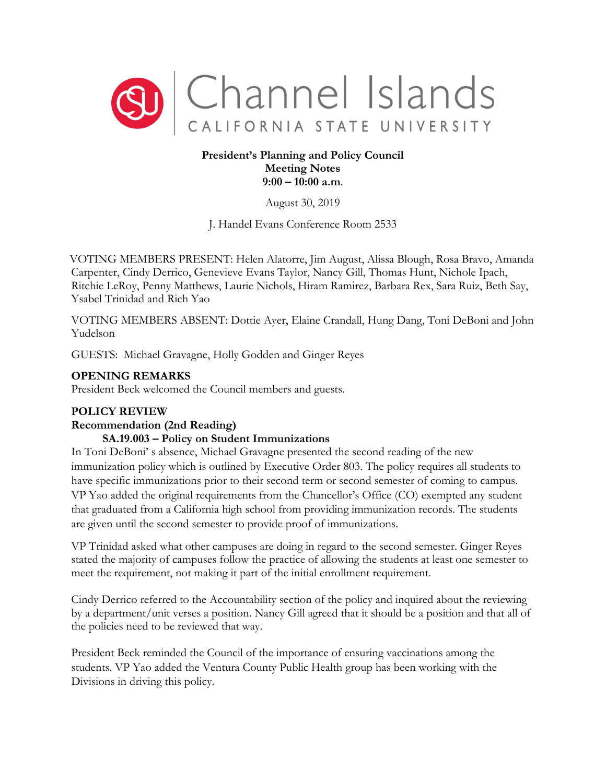

## **President's Planning and Policy Council Meeting Notes 9:00 – 10:00 a.m**.

August 30, 2019

J. Handel Evans Conference Room 2533

VOTING MEMBERS PRESENT: Helen Alatorre, Jim August, Alissa Blough, Rosa Bravo, Amanda Carpenter, Cindy Derrico, Genevieve Evans Taylor, Nancy Gill, Thomas Hunt, Nichole Ipach, Ritchie LeRoy, Penny Matthews, Laurie Nichols, Hiram Ramirez, Barbara Rex, Sara Ruiz, Beth Say, Ysabel Trinidad and Rich Yao

VOTING MEMBERS ABSENT: Dottie Ayer, Elaine Crandall, Hung Dang, Toni DeBoni and John Yudelson

GUESTS: Michael Gravagne, Holly Godden and Ginger Reyes

# **OPENING REMARKS**

President Beck welcomed the Council members and guests.

# **POLICY REVIEW**

### **Recommendation (2nd Reading)**

# **SA.19.003 – Policy on Student Immunizations**

In Toni DeBoni' s absence, Michael Gravagne presented the second reading of the new immunization policy which is outlined by Executive Order 803. The policy requires all students to have specific immunizations prior to their second term or second semester of coming to campus. VP Yao added the original requirements from the Chancellor's Office (CO) exempted any student that graduated from a California high school from providing immunization records. The students are given until the second semester to provide proof of immunizations.

VP Trinidad asked what other campuses are doing in regard to the second semester. Ginger Reyes stated the majority of campuses follow the practice of allowing the students at least one semester to meet the requirement, not making it part of the initial enrollment requirement.

Cindy Derrico referred to the Accountability section of the policy and inquired about the reviewing by a department/unit verses a position. Nancy Gill agreed that it should be a position and that all of the policies need to be reviewed that way.

President Beck reminded the Council of the importance of ensuring vaccinations among the students. VP Yao added the Ventura County Public Health group has been working with the Divisions in driving this policy.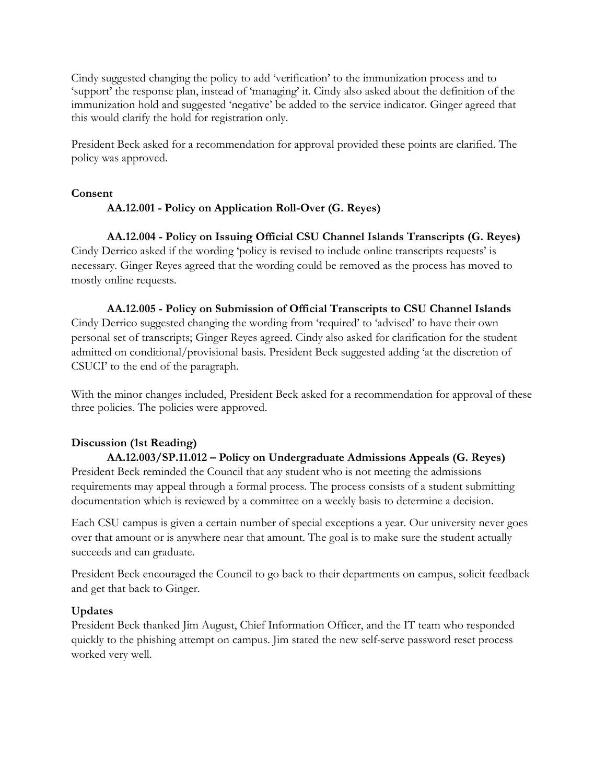Cindy suggested changing the policy to add 'verification' to the immunization process and to 'support' the response plan, instead of 'managing' it. Cindy also asked about the definition of the immunization hold and suggested 'negative' be added to the service indicator. Ginger agreed that this would clarify the hold for registration only.

President Beck asked for a recommendation for approval provided these points are clarified. The policy was approved.

## **Consent**

## **AA.12.001 - Policy on Application Roll-Over (G. Reyes)**

**AA.12.004 - Policy on Issuing Official CSU Channel Islands Transcripts (G. Reyes)** Cindy Derrico asked if the wording 'policy is revised to include online transcripts requests' is necessary. Ginger Reyes agreed that the wording could be removed as the process has moved to mostly online requests.

#### **AA.12.005 - Policy on Submission of Official Transcripts to CSU Channel Islands**

Cindy Derrico suggested changing the wording from 'required' to 'advised' to have their own personal set of transcripts; Ginger Reyes agreed. Cindy also asked for clarification for the student admitted on conditional/provisional basis. President Beck suggested adding 'at the discretion of CSUCI' to the end of the paragraph.

With the minor changes included, President Beck asked for a recommendation for approval of these three policies. The policies were approved.

# **Discussion (1st Reading)**

**AA.12.003/SP.11.012 – Policy on Undergraduate Admissions Appeals (G. Reyes)** President Beck reminded the Council that any student who is not meeting the admissions requirements may appeal through a formal process. The process consists of a student submitting documentation which is reviewed by a committee on a weekly basis to determine a decision.

Each CSU campus is given a certain number of special exceptions a year. Our university never goes over that amount or is anywhere near that amount. The goal is to make sure the student actually succeeds and can graduate.

President Beck encouraged the Council to go back to their departments on campus, solicit feedback and get that back to Ginger.

### **Updates**

President Beck thanked Jim August, Chief Information Officer, and the IT team who responded quickly to the phishing attempt on campus. Jim stated the new self-serve password reset process worked very well.